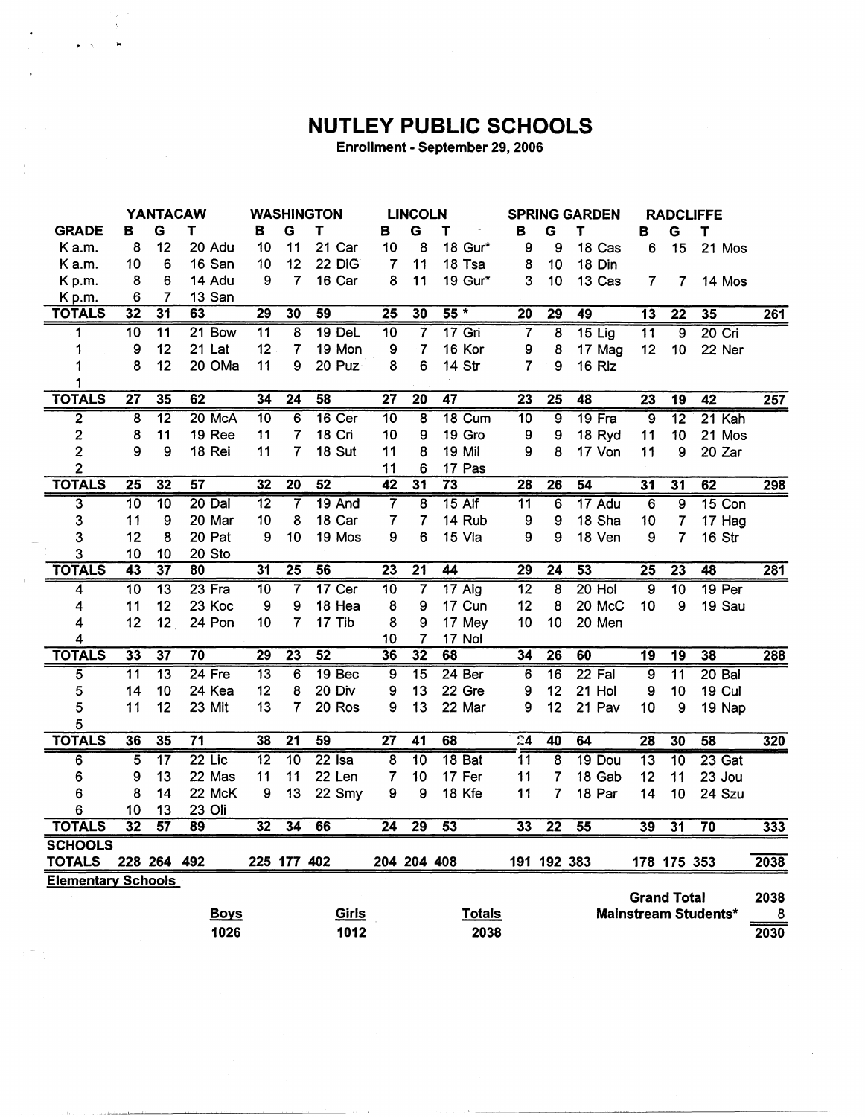## NUTLEY PUBLIC SCHOOLS

Enrollment - September 29, 2006

|                           |                         | <b>YANTACAW</b> |                     |                 |                 | <b>WASHINGTON</b> |                         | <b>LINCOLN</b>          |                 | <b>SPRING GARDEN</b> |                         |          | <b>RADCLIFFE</b> |                    |                             |                  |
|---------------------------|-------------------------|-----------------|---------------------|-----------------|-----------------|-------------------|-------------------------|-------------------------|-----------------|----------------------|-------------------------|----------|------------------|--------------------|-----------------------------|------------------|
| <b>GRADE</b>              | в                       | G               | т                   | в               | G               | T                 | в                       | G                       | т               | в                    | G                       | т        | в                | G                  | т                           |                  |
| K a.m.                    | 8                       | 12              | 20 Adu              | 10              | 11              | 21 Car            | 10                      | 8                       | 18 Gur*         | 9                    | 9                       | 18 Cas   | 6                | 15                 | 21 Mos                      |                  |
| Ka.m.                     | 10                      | 6               | 16 San              | 10              | 12              | 22 DiG            | $\overline{7}$          | 11                      | 18 Tsa          | 8                    | 10                      | 18 Din   |                  |                    |                             |                  |
| Kp.m.                     | 8                       | 6               | 14 Adu              | 9               | 7               | 16 Car            | 8                       | 11                      | 19 Gur*         | 3                    | 10                      | 13 Cas   | $\overline{7}$   | 7                  | 14 Mos                      |                  |
| Kp.m.                     | 6                       | 7               | 13 San              |                 |                 |                   |                         |                         |                 |                      |                         |          |                  |                    |                             |                  |
| <b>TOTALS</b>             | $\overline{32}$         | $\overline{31}$ | 63                  | $\overline{29}$ | 30              | 59                | $\overline{25}$         | 30                      | $55*$           | $\overline{20}$      | $\overline{29}$         | 49       | $\overline{13}$  | $\overline{22}$    | 35                          | $\overline{261}$ |
| 1                         | $\overline{10}$         | $\overline{11}$ | $21$ Bow            | $\overline{11}$ | 8               | 19 DeL            | $\overline{10}$         | 7                       | $17$ Gri        | 7                    | $\overline{\mathbf{8}}$ | $15$ Lig | $\overline{11}$  | $\overline{9}$     | $20$ Cri                    |                  |
| 1                         | 9                       | 12              | 21 Lat              | 12              | $\overline{7}$  | 19 Mon            | 9                       | 7                       | 16 Kor          | 9                    | 8                       | 17 Mag   | 12               | 10                 | 22 Ner                      |                  |
| 1                         | 8                       | 12              | 20 OMa              | 11              | 9               | 20 Puz-           | 8                       | 6                       | 14 Str          | $\overline{7}$       | 9                       | 16 Riz   |                  |                    |                             |                  |
| 1                         |                         |                 |                     |                 |                 |                   |                         |                         |                 |                      |                         |          |                  |                    |                             |                  |
| <b>TOTALS</b>             | $\overline{27}$         | 35              | 62                  | $\overline{34}$ | $\overline{24}$ | 58                | $\overline{27}$         | $\overline{20}$         | $\overline{47}$ | 23                   | $\overline{25}$         | 48       | $\overline{23}$  | $\overline{19}$    | $\overline{42}$             | 257              |
| $\overline{2}$            | $\overline{\mathbf{8}}$ | $\overline{12}$ | 20 McA              | $\overline{10}$ | $\overline{6}$  | $16$ Cer          | $\overline{10}$         | $\overline{\mathbf{8}}$ | 18 Cum          | $\overline{10}$      | $\overline{9}$          | $19$ Fra | $\overline{9}$   | $\overline{12}$    | $21$ Kah                    |                  |
| 2                         | 8                       | 11              | 19 Ree              | 11              | 7               | 18 Cri            | 10                      | 9                       | 19 Gro          | 9                    | 9                       | 18 Ryd   | 11               | 10                 | 21 Mos                      |                  |
| $\overline{2}$            | 9                       | 9               | 18 Rei              | 11              | 7               | 18 Sut            | 11                      | 8                       | 19 Mil          | 9                    | 8                       | 17 Von   | 11               | 9                  | 20 Zar                      |                  |
| 2                         |                         |                 |                     |                 |                 |                   | 11                      | 6                       | 17 Pas          |                      |                         |          |                  |                    |                             |                  |
| <b>TOTALS</b>             | $\overline{25}$         | 32              | 57                  | 32              | $\overline{20}$ | $\overline{52}$   | $\overline{42}$         | 31                      | $\overline{73}$ | 28                   | $\overline{26}$         | 54       | $\overline{31}$  | 31                 | 62                          | 298              |
| 3                         | $\overline{10}$         | $\overline{10}$ | $20$ Dal            | $\overline{12}$ | 7               | $19$ And          | $\overline{\mathbf{7}}$ | $\overline{8}$          | $15$ Alf        | $\overline{11}$      | 6                       | 17 Adu   | $\overline{6}$   | $\overline{9}$     | $15$ Con                    |                  |
| 3                         | 11                      | 9               | 20 Mar              | 10              | 8               | 18 Car            | 7                       | 7                       | 14 Rub          | 9                    | 9                       | 18 Sha   | 10               | 7                  | 17 Hag                      |                  |
| 3                         | 12                      | 8               | 20 Pat              | 9               | 10              | 19 Mos            | 9                       | 6                       | 15 Vla          | 9                    | 9                       | 18 Ven   | 9                | 7                  | 16 Str                      |                  |
| 3                         | 10                      | 10              | 20 Sto              |                 |                 |                   |                         |                         |                 |                      |                         |          |                  |                    |                             |                  |
| <b>TOTALS</b>             | 43                      | $\overline{37}$ | 80                  | $\overline{31}$ | $\overline{25}$ | 56                | $\overline{23}$         | $\overline{21}$         | 44              | 29                   | $\overline{24}$         | 53       | $\overline{25}$  | $\overline{23}$    | 48                          | 281              |
| 4                         | 10                      | $\overline{13}$ | $23$ Fra            | $\overline{10}$ | 7               | $17$ Cer          | $\overline{10}$         | 7                       | 17 Alg          | $\overline{12}$      | 8                       | $20$ Hol | $\overline{9}$   | 10                 | 19 Per                      |                  |
| 4                         | 11                      | 12              | 23 Koc              | 9               | 9               | 18 Hea            | 8                       | 9                       | 17 Cun          | 12                   | 8                       | 20 McC   | 10               | 9                  | 19 Sau                      |                  |
| 4                         | 12                      | 12              | 24 Pon              | 10              | $\overline{7}$  | 17 Tib            | 8                       | 9                       | 17 Mey          | 10                   | 10                      | 20 Men   |                  |                    |                             |                  |
| 4                         |                         |                 |                     |                 |                 |                   | 10                      | $\overline{7}$          | 17 Nol          |                      |                         |          |                  |                    |                             |                  |
| <b>TOTALS</b>             | 33                      | $\overline{37}$ | $\overline{70}$     | $\overline{29}$ | $\overline{23}$ | 52                | 36                      | 32                      | 68              | 34                   | $\overline{26}$         | 60       | $\overline{19}$  | $\overline{19}$    | 38                          | 288              |
| 5                         | $\overline{11}$         | $\overline{13}$ | $24$ Fre            | $\overline{13}$ | 6               | 19 Bec            | $\overline{9}$          | $\overline{15}$         | 24 Ber          | 6                    | $\overline{16}$         | $22$ Fal | $\overline{9}$   | $\overline{11}$    | $20$ Bal                    |                  |
| 5                         | 14                      | 10              | 24 Kea              | 12              | 8               | 20 Div            | 9                       | 13                      | 22 Gre          | 9                    | 12                      | 21 Hol   | 9                | 10                 | 19 Cul                      |                  |
| 5                         | 11                      | 12              | 23 Mit              | 13              | 7               | 20 Ros            | 9                       | 13                      | 22 Mar          | 9                    | 12                      | 21 Pav   | 10               | 9                  | 19 Nap                      |                  |
| 5                         |                         |                 |                     |                 |                 |                   |                         |                         |                 |                      |                         |          |                  |                    |                             |                  |
| <b>TOTALS</b>             | 36                      | $\overline{35}$ | $\overline{71}$     | 38              | $\overline{21}$ | 59                | $\overline{27}$         | $\overline{41}$         | 68              | $\overline{34}$      | 40                      | 64       | $\overline{28}$  | 30                 | $\overline{58}$             | 320              |
| 6                         | $\overline{5}$          | $\overline{17}$ | $\overline{22}$ Lic | $\overline{12}$ | $\overline{10}$ | $22$ Isa          | $\overline{\mathbf{8}}$ | $\overline{10}$         | 18 Bat          | $\overline{11}$      | $\overline{\mathbf{8}}$ | 19 Dou   | $\overline{13}$  | $\overline{10}$    | 23 Gat                      |                  |
| 6                         | 9                       | 13              | 22 Mas              | 11              | 11              | 22 Len            | 7                       | 10                      | 17 Fer          | 11                   | 7                       | 18 Gab   | 12               | 11                 | 23 Jou                      |                  |
| 6                         | 8                       | 14              | 22 McK              | 9               | 13              | 22 Smy            | 9                       | 9                       | 18 Kfe          | 11                   | 7                       | 18 Par   | 14               | 10                 | 24 Szu                      |                  |
| 6                         | 10                      | 13              | 23 Oli              |                 |                 |                   |                         |                         |                 |                      |                         |          |                  |                    |                             |                  |
| <b>TOTALS</b>             | $\overline{32}$         | $\overline{57}$ | 89                  | 32              | 34              | 66                | 24                      | 29                      | $\overline{53}$ | 33                   | $\overline{22}$         | 55       | 39               | $\overline{31}$    | $\overline{70}$             | 333              |
| <b>SCHOOLS</b>            |                         |                 |                     |                 |                 |                   |                         |                         |                 |                      |                         |          |                  |                    |                             |                  |
| <b>TOTALS</b>             |                         | 228 264 492     |                     |                 | 225 177 402     |                   |                         | 204 204 408             |                 |                      | 191 192 383             |          |                  | 178 175 353        |                             | 2038             |
| <b>Elementary Schools</b> |                         |                 |                     |                 |                 |                   |                         |                         |                 |                      |                         |          |                  |                    |                             |                  |
|                           |                         |                 |                     |                 |                 |                   |                         |                         |                 |                      |                         |          |                  | <b>Grand Total</b> |                             | 2038             |
|                           |                         |                 | <b>Boys</b>         |                 |                 | <b>Girls</b>      |                         |                         | <b>Totals</b>   |                      |                         |          |                  |                    | <b>Mainstream Students*</b> | 8                |
|                           |                         |                 | 1026                |                 |                 | 1012              |                         |                         | 2038            |                      |                         |          |                  |                    |                             | 2030             |